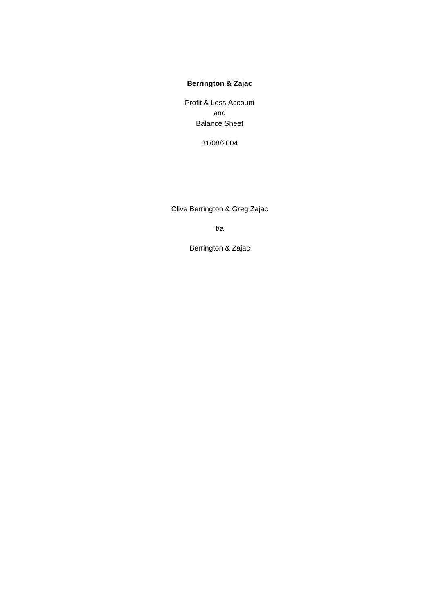## **Berrington & Zajac**

Profit & Loss Account and Balance Sheet

31/08/2004

Clive Berrington & Greg Zajac

t/a

Berrington & Zajac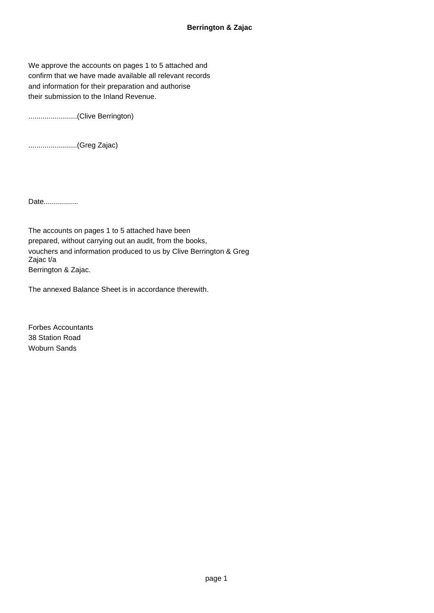#### **Berrington & Zajac**

We approve the accounts on pages 1 to 5 attached and confirm that we have made available all relevant records and information for their preparation and authorise their submission to the Inland Revenue.

........................(Clive Berrington)

........................(Greg Zajac)

Date.................

The accounts on pages 1 to 5 attached have been prepared, without carrying out an audit, from the books, vouchers and information produced to us by Clive Berrington & Greg Zajac t/a Berrington & Zajac.

The annexed Balance Sheet is in accordance therewith.

Forbes Accountants 38 Station Road Woburn Sands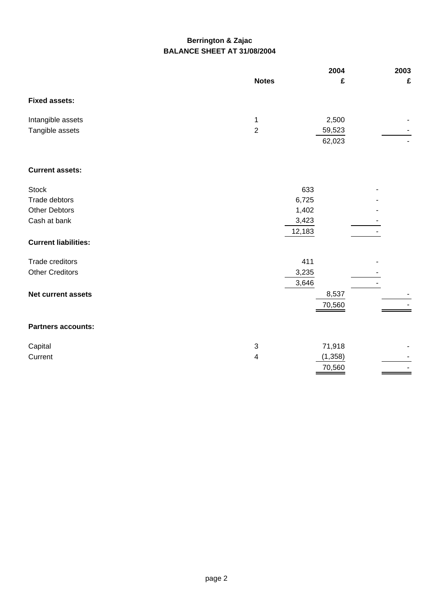# **Berrington & Zajac BALANCE SHEET AT 31/08/2004**

|                             |                         | 2004             | 2003 |
|-----------------------------|-------------------------|------------------|------|
|                             | <b>Notes</b>            | £                | £    |
| <b>Fixed assets:</b>        |                         |                  |      |
| Intangible assets           | 1                       | 2,500            |      |
| Tangible assets             | $\mathbf 2$             | 59,523<br>62,023 |      |
| <b>Current assets:</b>      |                         |                  |      |
| <b>Stock</b>                |                         | 633              |      |
| Trade debtors               |                         | 6,725            |      |
| <b>Other Debtors</b>        |                         | 1,402            |      |
| Cash at bank                |                         | 3,423            |      |
|                             |                         | 12,183           |      |
| <b>Current liabilities:</b> |                         |                  |      |
| Trade creditors             |                         | 411              |      |
| <b>Other Creditors</b>      |                         | 3,235            |      |
|                             |                         | 3,646            |      |
| <b>Net current assets</b>   |                         | 8,537            |      |
|                             |                         | 70,560           |      |
| <b>Partners accounts:</b>   |                         |                  |      |
| Capital                     | $\sqrt{3}$              | 71,918           |      |
| Current                     | $\overline{\mathbf{4}}$ | (1, 358)         |      |
|                             |                         | 70,560           |      |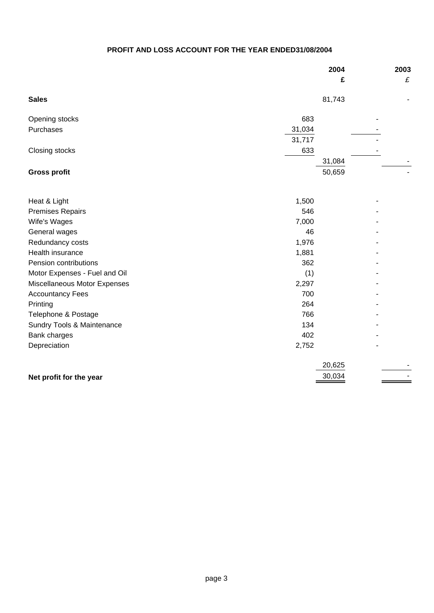### **PROFIT AND LOSS ACCOUNT FOR THE YEAR ENDED31/08/2004**

|                               |        | 2004<br>£ | 2003<br>£ |
|-------------------------------|--------|-----------|-----------|
| <b>Sales</b>                  |        | 81,743    |           |
| Opening stocks                | 683    |           |           |
| Purchases                     | 31,034 |           |           |
|                               | 31,717 |           |           |
| Closing stocks                | 633    |           |           |
|                               |        | 31,084    |           |
| <b>Gross profit</b>           |        | 50,659    |           |
| Heat & Light                  | 1,500  |           |           |
| <b>Premises Repairs</b>       | 546    |           |           |
| Wife's Wages                  | 7,000  |           |           |
| General wages                 | 46     |           |           |
| Redundancy costs              | 1,976  |           |           |
| Health insurance              | 1,881  |           |           |
| Pension contributions         | 362    |           |           |
| Motor Expenses - Fuel and Oil | (1)    |           |           |
| Miscellaneous Motor Expenses  | 2,297  |           |           |
| <b>Accountancy Fees</b>       | 700    |           |           |
| Printing                      | 264    |           |           |
| Telephone & Postage           | 766    |           |           |
| Sundry Tools & Maintenance    | 134    |           |           |
| Bank charges                  | 402    |           |           |
| Depreciation                  | 2,752  |           |           |
|                               |        | 20,625    |           |
| Net profit for the year       |        | 30,034    |           |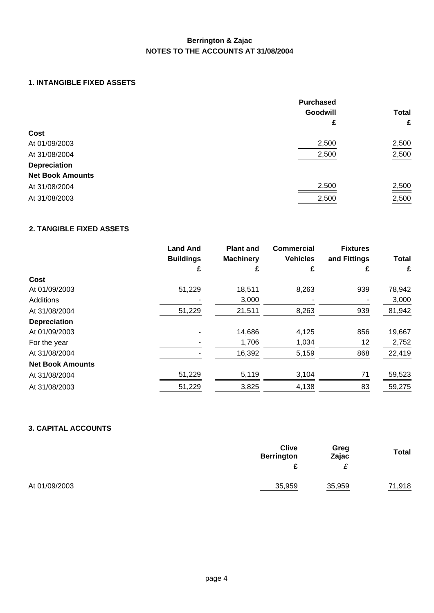## **Berrington & Zajac NOTES TO THE ACCOUNTS AT 31/08/2004**

#### **1. INTANGIBLE FIXED ASSETS**

|                         | <b>Purchased</b> |                   |
|-------------------------|------------------|-------------------|
|                         | <b>Goodwill</b>  | <b>Total</b>      |
|                         | £                | £                 |
| Cost                    |                  |                   |
| At 01/09/2003           | 2,500            | 2,500             |
| At 31/08/2004           | 2,500            | 2,500             |
| <b>Depreciation</b>     |                  |                   |
| <b>Net Book Amounts</b> |                  |                   |
| At 31/08/2004           | 2,500            | $\frac{2,500}{ }$ |
| At 31/08/2003           | 2,500            | 2,500             |

## **2. TANGIBLE FIXED ASSETS**

|        | <b>Plant and</b>                         | Commercial            | <b>Fixtures</b>      |                   |
|--------|------------------------------------------|-----------------------|----------------------|-------------------|
|        |                                          |                       |                      | <b>Total</b>      |
|        |                                          |                       |                      | £                 |
|        |                                          |                       |                      |                   |
| 51,229 | 18,511                                   | 8,263                 | 939                  | 78,942            |
|        | 3,000                                    |                       |                      | 3,000             |
| 51,229 | 21,511                                   | 8,263                 | 939                  | 81,942            |
|        |                                          |                       |                      |                   |
|        | 14,686                                   | 4,125                 | 856                  | 19,667            |
|        | 1,706                                    | 1,034                 | 12                   | 2,752             |
|        | 16,392                                   | 5,159                 | 868                  | 22,419            |
|        |                                          |                       |                      |                   |
| 51,229 | 5,119                                    | 3,104                 | 71                   | 59,523            |
| 51,229 | 3,825                                    | 4,138                 | 83                   | 59,275            |
|        | <b>Land And</b><br><b>Buildings</b><br>£ | <b>Machinery</b><br>£ | <b>Vehicles</b><br>£ | and Fittings<br>£ |

## **3. CAPITAL ACCOUNTS**

|               | <b>Clive</b><br><b>Berrington</b><br>c | Greg<br>Zajac | <b>Total</b> |
|---------------|----------------------------------------|---------------|--------------|
| At 01/09/2003 | 35,959                                 | 35,959        | 71,918       |